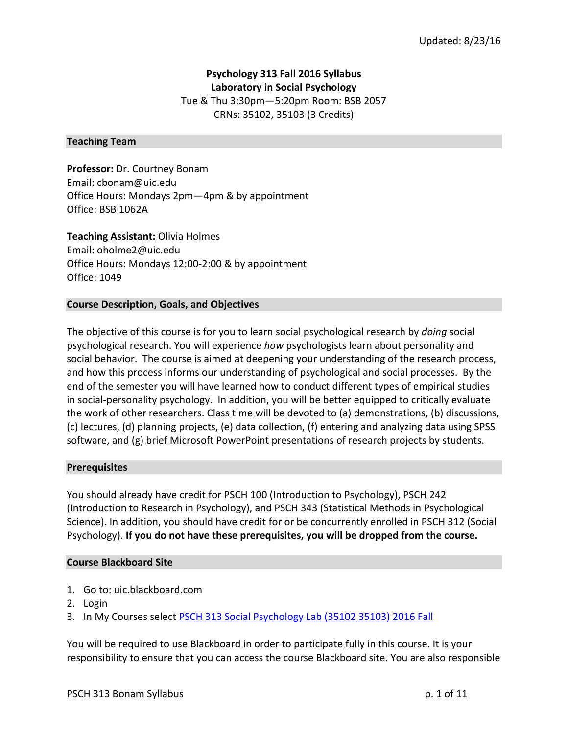# **Psychology 313 Fall 2016 Syllabus**

**Laboratory in Social Psychology** Tue & Thu 3:30pm-5:20pm Room: BSB 2057 CRNs: 35102, 35103 (3 Credits)

#### **Teaching Team**

**Professor:** Dr. Courtney Bonam Email: cbonam@uic.edu Office Hours: Mondays 2pm-4pm & by appointment Office: BSB 1062A

**Teaching Assistant: Olivia Holmes** Email: oholme2@uic.edu Office Hours: Mondays 12:00-2:00 & by appointment Office: 1049

### **Course Description, Goals, and Objectives**

The objective of this course is for you to learn social psychological research by *doing* social psychological research. You will experience *how* psychologists learn about personality and social behavior. The course is aimed at deepening your understanding of the research process, and how this process informs our understanding of psychological and social processes. By the end of the semester you will have learned how to conduct different types of empirical studies in social-personality psychology. In addition, you will be better equipped to critically evaluate the work of other researchers. Class time will be devoted to (a) demonstrations, (b) discussions, (c) lectures, (d) planning projects, (e) data collection, (f) entering and analyzing data using SPSS software, and (g) brief Microsoft PowerPoint presentations of research projects by students.

#### **Prerequisites**

You should already have credit for PSCH 100 (Introduction to Psychology), PSCH 242 (Introduction to Research in Psychology), and PSCH 343 (Statistical Methods in Psychological Science). In addition, you should have credit for or be concurrently enrolled in PSCH 312 (Social Psychology). If you do not have these prerequisites, you will be dropped from the course.

#### **Course Blackboard Site**

- 1. Go to: uic.blackboard.com
- 2. Login
- 3. In My Courses select PSCH 313 Social Psychology Lab (35102 35103) 2016 Fall

You will be required to use Blackboard in order to participate fully in this course. It is your responsibility to ensure that you can access the course Blackboard site. You are also responsible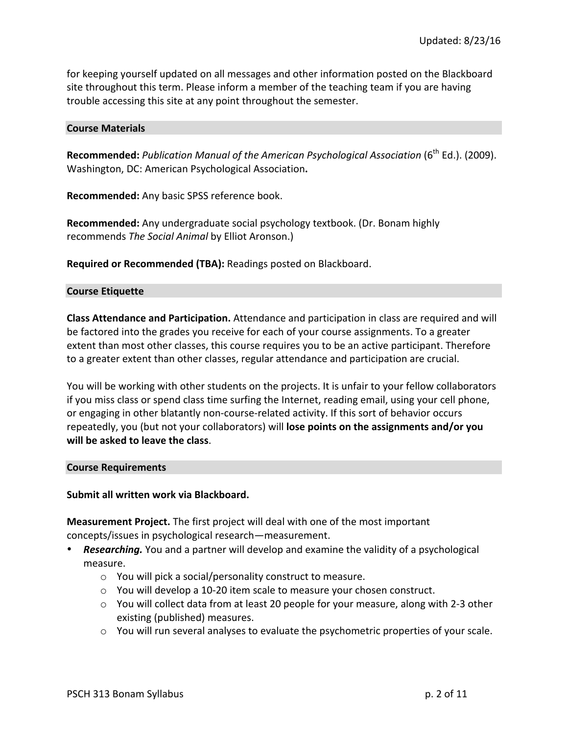for keeping yourself updated on all messages and other information posted on the Blackboard site throughout this term. Please inform a member of the teaching team if you are having trouble accessing this site at any point throughout the semester.

#### **Course Materials**

Recommended: *Publication Manual of the American Psychological Association* (6<sup>th</sup> Ed.). (2009). Washington, DC: American Psychological Association**.**

**Recommended:** Any basic SPSS reference book.

**Recommended:** Any undergraduate social psychology textbook. (Dr. Bonam highly recommends *The Social Animal* by Elliot Aronson.)

**Required or Recommended (TBA):** Readings posted on Blackboard.

#### **Course Etiquette**

**Class Attendance and Participation.** Attendance and participation in class are required and will be factored into the grades you receive for each of your course assignments. To a greater extent than most other classes, this course requires you to be an active participant. Therefore to a greater extent than other classes, regular attendance and participation are crucial.

You will be working with other students on the projects. It is unfair to your fellow collaborators if you miss class or spend class time surfing the Internet, reading email, using your cell phone, or engaging in other blatantly non-course-related activity. If this sort of behavior occurs repeatedly, you (but not your collaborators) will **lose points on the assignments and/or you will be asked to leave the class.** 

#### **Course Requirements**

#### **Submit all written work via Blackboard.**

**Measurement Project.** The first project will deal with one of the most important concepts/issues in psychological research—measurement.

- **Researching.** You and a partner will develop and examine the validity of a psychological measure.
	- $\circ$  You will pick a social/personality construct to measure.
	- $\circ$  You will develop a 10-20 item scale to measure your chosen construct.
	- $\circ$  You will collect data from at least 20 people for your measure, along with 2-3 other existing (published) measures.
	- $\circ$  You will run several analyses to evaluate the psychometric properties of your scale.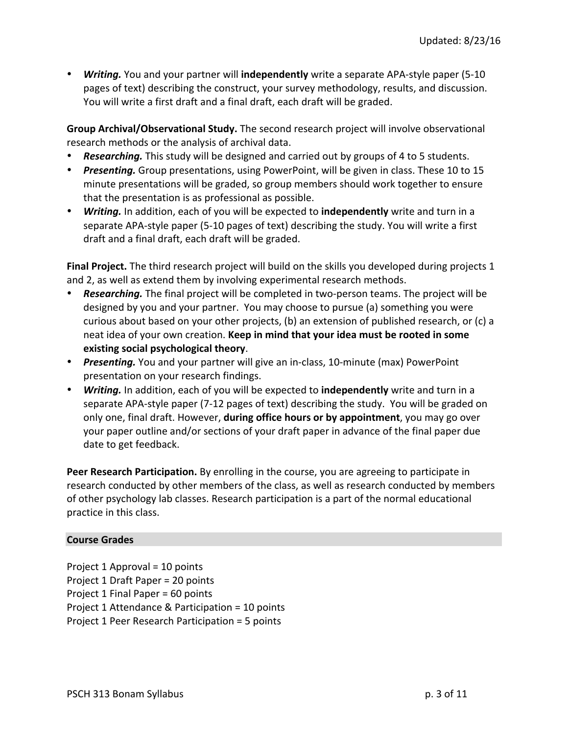• *Writing.* You and your partner will independently write a separate APA-style paper (5-10) pages of text) describing the construct, your survey methodology, results, and discussion. You will write a first draft and a final draft, each draft will be graded.

**Group Archival/Observational Study.** The second research project will involve observational research methods or the analysis of archival data.

- **Researching.** This study will be designed and carried out by groups of 4 to 5 students.
- Presenting. Group presentations, using PowerPoint, will be given in class. These 10 to 15 minute presentations will be graded, so group members should work together to ensure that the presentation is as professional as possible.
- *Writing.* In addition, each of you will be expected to **independently** write and turn in a separate APA-style paper (5-10 pages of text) describing the study. You will write a first draft and a final draft, each draft will be graded.

**Final Project.** The third research project will build on the skills you developed during projects 1 and 2, as well as extend them by involving experimental research methods.

- **Researching.** The final project will be completed in two-person teams. The project will be designed by you and your partner. You may choose to pursue (a) something you were curious about based on your other projects, (b) an extension of published research, or (c) a neat idea of your own creation. **Keep in mind that your idea must be rooted in some existing social psychological theory.**
- *Presenting.* You and your partner will give an in-class, 10-minute (max) PowerPoint presentation on your research findings.
- **Writing.** In addition, each of you will be expected to **independently** write and turn in a separate APA-style paper (7-12 pages of text) describing the study. You will be graded on only one, final draft. However, **during office hours or by appointment**, you may go over your paper outline and/or sections of your draft paper in advance of the final paper due date to get feedback.

**Peer Research Participation.** By enrolling in the course, you are agreeing to participate in research conducted by other members of the class, as well as research conducted by members of other psychology lab classes. Research participation is a part of the normal educational practice in this class.

# **Course Grades**

Project  $1$  Approval =  $10$  points Project 1 Draft Paper = 20 points Project 1 Final Paper =  $60$  points Project 1 Attendance & Participation = 10 points Project 1 Peer Research Participation = 5 points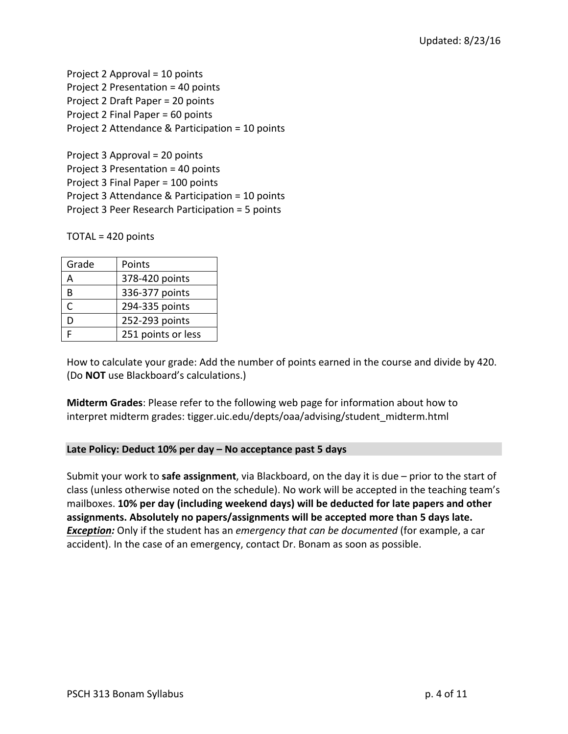Project 2 Approval  $=$  10 points Project 2 Presentation = 40 points Project 2 Draft Paper = 20 points Project 2 Final Paper  $= 60$  points Project 2 Attendance & Participation = 10 points

Project  $3$  Approval =  $20$  points Project  $3$  Presentation =  $40$  points Project 3 Final Paper = 100 points Project 3 Attendance & Participation  $= 10$  points Project 3 Peer Research Participation = 5 points

 $TOTAL = 420$  points

| Grade | Points             |
|-------|--------------------|
| Д     | 378-420 points     |
| B     | 336-377 points     |
| r     | 294-335 points     |
| D     | 252-293 points     |
|       | 251 points or less |

How to calculate your grade: Add the number of points earned in the course and divide by 420. (Do **NOT** use Blackboard's calculations.)

**Midterm Grades:** Please refer to the following web page for information about how to interpret midterm grades: tigger.uic.edu/depts/oaa/advising/student\_midterm.html

# **Late Policy: Deduct 10% per day – No acceptance past 5 days**

Submit your work to **safe assignment**, via Blackboard, on the day it is due – prior to the start of class (unless otherwise noted on the schedule). No work will be accepted in the teaching team's mailboxes. 10% per day (including weekend days) will be deducted for late papers and other assignments. Absolutely no papers/assignments will be accepted more than 5 days late. **Exception:** Only if the student has an *emergency that can be documented* (for example, a car accident). In the case of an emergency, contact Dr. Bonam as soon as possible.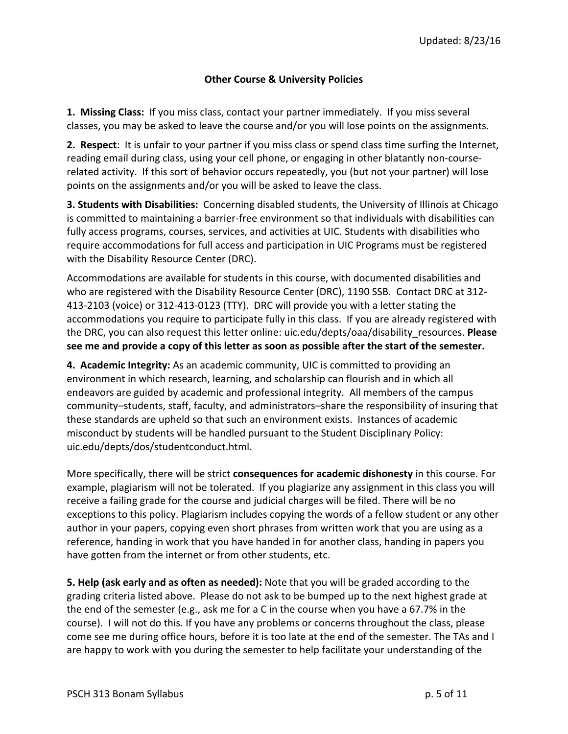# **Other Course & University Policies**

1. Missing Class: If you miss class, contact your partner immediately. If you miss several classes, you may be asked to leave the course and/or you will lose points on the assignments.

**2.** Respect: It is unfair to your partner if you miss class or spend class time surfing the Internet, reading email during class, using your cell phone, or engaging in other blatantly non-courserelated activity. If this sort of behavior occurs repeatedly, you (but not your partner) will lose points on the assignments and/or you will be asked to leave the class.

**3. Students with Disabilities:** Concerning disabled students, the University of Illinois at Chicago is committed to maintaining a barrier-free environment so that individuals with disabilities can fully access programs, courses, services, and activities at UIC. Students with disabilities who require accommodations for full access and participation in UIC Programs must be registered with the Disability Resource Center (DRC).

Accommodations are available for students in this course, with documented disabilities and who are registered with the Disability Resource Center (DRC), 1190 SSB. Contact DRC at 312-413-2103 (voice) or 312-413-0123 (TTY). DRC will provide you with a letter stating the accommodations you require to participate fully in this class. If you are already registered with the DRC, you can also request this letter online: uic.edu/depts/oaa/disability resources. Please see me and provide a copy of this letter as soon as possible after the start of the semester.

**4. Academic Integrity:** As an academic community, UIC is committed to providing an environment in which research, learning, and scholarship can flourish and in which all endeavors are guided by academic and professional integrity. All members of the campus community–students, staff, faculty, and administrators–share the responsibility of insuring that these standards are upheld so that such an environment exists. Instances of academic misconduct by students will be handled pursuant to the Student Disciplinary Policy: uic.edu/depts/dos/studentconduct.html. 

More specifically, there will be strict **consequences for academic dishonesty** in this course. For example, plagiarism will not be tolerated. If you plagiarize any assignment in this class you will receive a failing grade for the course and judicial charges will be filed. There will be no exceptions to this policy. Plagiarism includes copying the words of a fellow student or any other author in your papers, copying even short phrases from written work that you are using as a reference, handing in work that you have handed in for another class, handing in papers you have gotten from the internet or from other students, etc.

**5. Help (ask early and as often as needed):** Note that you will be graded according to the grading criteria listed above. Please do not ask to be bumped up to the next highest grade at the end of the semester (e.g., ask me for a C in the course when you have a 67.7% in the course). I will not do this. If you have any problems or concerns throughout the class, please come see me during office hours, before it is too late at the end of the semester. The TAs and I are happy to work with you during the semester to help facilitate your understanding of the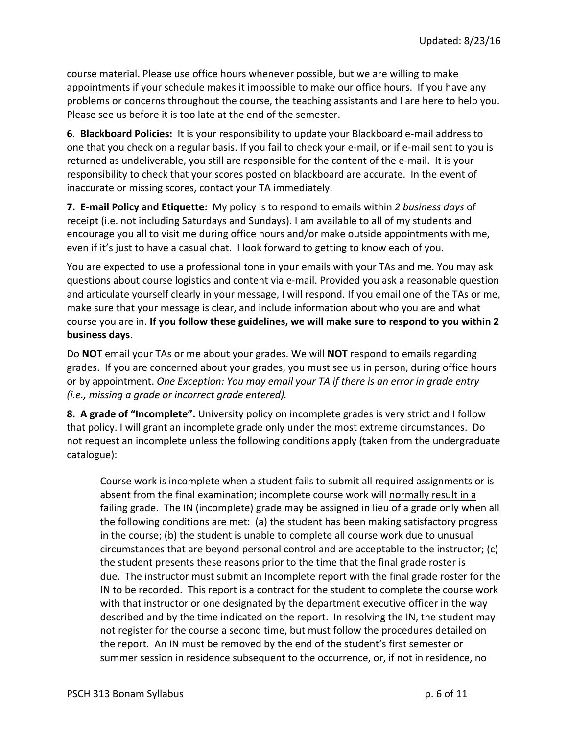course material. Please use office hours whenever possible, but we are willing to make appointments if your schedule makes it impossible to make our office hours. If you have any problems or concerns throughout the course, the teaching assistants and I are here to help you. Please see us before it is too late at the end of the semester.

**6. Blackboard Policies:** It is your responsibility to update your Blackboard e-mail address to one that you check on a regular basis. If you fail to check your e-mail, or if e-mail sent to you is returned as undeliverable, you still are responsible for the content of the e-mail. It is your responsibility to check that your scores posted on blackboard are accurate. In the event of inaccurate or missing scores, contact your TA immediately.

**7.** E-mail Policy and Etiquette: My policy is to respond to emails within 2 business days of receipt (i.e. not including Saturdays and Sundays). I am available to all of my students and encourage you all to visit me during office hours and/or make outside appointments with me, even if it's just to have a casual chat. I look forward to getting to know each of you.

You are expected to use a professional tone in your emails with your TAs and me. You may ask questions about course logistics and content via e-mail. Provided you ask a reasonable question and articulate yourself clearly in your message, I will respond. If you email one of the TAs or me, make sure that your message is clear, and include information about who you are and what course you are in. If you follow these guidelines, we will make sure to respond to you within 2 **business days**. 

Do **NOT** email your TAs or me about your grades. We will **NOT** respond to emails regarding grades. If you are concerned about your grades, you must see us in person, during office hours or by appointment. One Exception: You may email your TA if there is an error in grade entry *(i.e., missing a grade or incorrect grade entered).* 

**8.** A grade of "Incomplete". University policy on incomplete grades is very strict and I follow that policy. I will grant an incomplete grade only under the most extreme circumstances. Do not request an incomplete unless the following conditions apply (taken from the undergraduate catalogue): 

Course work is incomplete when a student fails to submit all required assignments or is absent from the final examination; incomplete course work will normally result in a failing grade. The IN (incomplete) grade may be assigned in lieu of a grade only when all the following conditions are met: (a) the student has been making satisfactory progress in the course; (b) the student is unable to complete all course work due to unusual circumstances that are beyond personal control and are acceptable to the instructor;  $(c)$ the student presents these reasons prior to the time that the final grade roster is due. The instructor must submit an Incomplete report with the final grade roster for the IN to be recorded. This report is a contract for the student to complete the course work with that instructor or one designated by the department executive officer in the way described and by the time indicated on the report. In resolving the IN, the student may not register for the course a second time, but must follow the procedures detailed on the report. An IN must be removed by the end of the student's first semester or summer session in residence subsequent to the occurrence, or, if not in residence, no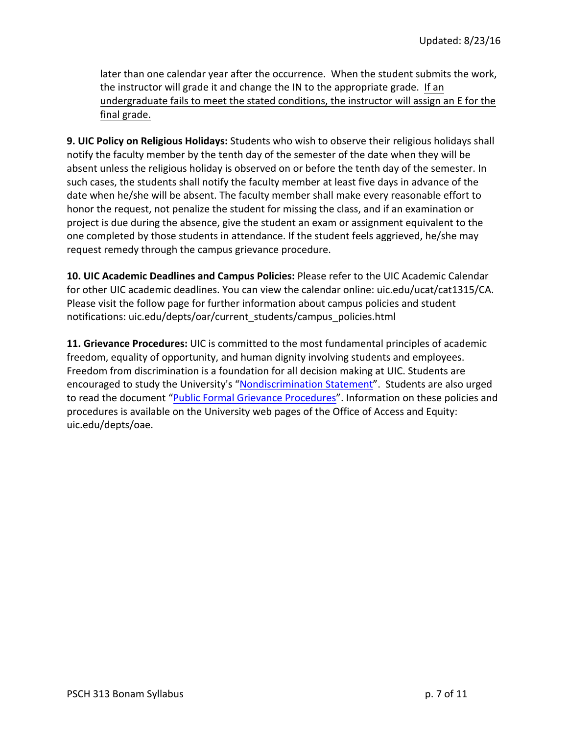later than one calendar year after the occurrence. When the student submits the work, the instructor will grade it and change the IN to the appropriate grade. If an undergraduate fails to meet the stated conditions, the instructor will assign an E for the final grade.

**9. UIC Policy on Religious Holidays:** Students who wish to observe their religious holidays shall notify the faculty member by the tenth day of the semester of the date when they will be absent unless the religious holiday is observed on or before the tenth day of the semester. In such cases, the students shall notify the faculty member at least five days in advance of the date when he/she will be absent. The faculty member shall make every reasonable effort to honor the request, not penalize the student for missing the class, and if an examination or project is due during the absence, give the student an exam or assignment equivalent to the one completed by those students in attendance. If the student feels aggrieved, he/she may request remedy through the campus grievance procedure.

**10. UIC Academic Deadlines and Campus Policies: Please refer to the UIC Academic Calendar** for other UIC academic deadlines. You can view the calendar online: uic.edu/ucat/cat1315/CA. Please visit the follow page for further information about campus policies and student notifications: uic.edu/depts/oar/current\_students/campus\_policies.html

**11. Grievance Procedures:** UIC is committed to the most fundamental principles of academic freedom, equality of opportunity, and human dignity involving students and employees. Freedom from discrimination is a foundation for all decision making at UIC. Students are encouraged to study the University's "Nondiscrimination Statement". Students are also urged to read the document "Public Formal Grievance Procedures". Information on these policies and procedures is available on the University web pages of the Office of Access and Equity: uic.edu/depts/oae.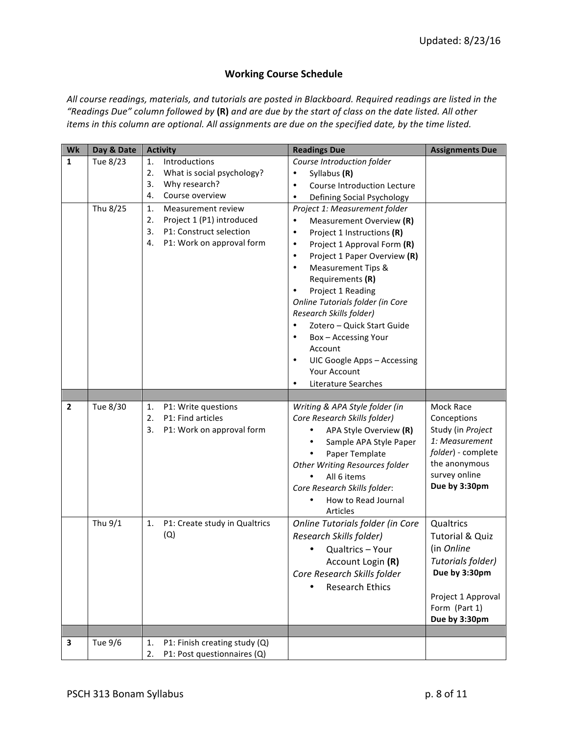# **Working Course Schedule**

All course readings, materials, and tutorials are posted in Blackboard. Required readings are listed in the *"Readings Due" column followed by* **(R)** *and are due by the start of class on the date listed. All other items* in this column are optional. All assignments are due on the specified date, by the time listed.

| Wk           | Day & Date | <b>Activity</b>                     | <b>Readings Due</b>                        | <b>Assignments Due</b>     |
|--------------|------------|-------------------------------------|--------------------------------------------|----------------------------|
| $\mathbf{1}$ | Tue 8/23   | Introductions<br>1.                 | Course Introduction folder                 |                            |
|              |            | What is social psychology?<br>2.    | Syllabus (R)<br>$\bullet$                  |                            |
|              |            | 3.<br>Why research?                 | Course Introduction Lecture<br>$\bullet$   |                            |
|              |            | Course overview<br>4.               | Defining Social Psychology<br>$\bullet$    |                            |
|              | Thu 8/25   | 1.<br>Measurement review            | Project 1: Measurement folder              |                            |
|              |            | Project 1 (P1) introduced<br>2.     | Measurement Overview (R)<br>$\bullet$      |                            |
|              |            | P1: Construct selection<br>3.       | Project 1 Instructions (R)<br>$\bullet$    |                            |
|              |            | P1: Work on approval form<br>4.     | Project 1 Approval Form (R)<br>$\bullet$   |                            |
|              |            |                                     | Project 1 Paper Overview (R)<br>$\bullet$  |                            |
|              |            |                                     | <b>Measurement Tips &amp;</b><br>$\bullet$ |                            |
|              |            |                                     | Requirements (R)                           |                            |
|              |            |                                     | Project 1 Reading<br>$\bullet$             |                            |
|              |            |                                     | Online Tutorials folder (in Core           |                            |
|              |            |                                     | Research Skills folder)                    |                            |
|              |            |                                     | Zotero - Quick Start Guide                 |                            |
|              |            |                                     | Box - Accessing Your<br>٠                  |                            |
|              |            |                                     | Account                                    |                            |
|              |            |                                     | UIC Google Apps - Accessing<br>$\bullet$   |                            |
|              |            |                                     | Your Account                               |                            |
|              |            |                                     | Literature Searches<br>$\bullet$           |                            |
|              |            |                                     |                                            |                            |
| $\mathbf{2}$ | Tue 8/30   | P1: Write questions<br>1.           | Writing & APA Style folder (in             | Mock Race                  |
|              |            | P1: Find articles<br>2.             | Core Research Skills folder)               | Conceptions                |
|              |            | P1: Work on approval form<br>3.     | APA Style Overview (R)<br>$\bullet$        | Study (in Project          |
|              |            |                                     | Sample APA Style Paper<br>$\bullet$        | 1: Measurement             |
|              |            |                                     | Paper Template                             | folder) - complete         |
|              |            |                                     | Other Writing Resources folder             | the anonymous              |
|              |            |                                     | All 6 items                                | survey online              |
|              |            |                                     | Core Research Skills folder:               | Due by 3:30pm              |
|              |            |                                     | How to Read Journal                        |                            |
|              |            |                                     | Articles                                   |                            |
|              | Thu 9/1    | P1: Create study in Qualtrics<br>1. | Online Tutorials folder (in Core           | Qualtrics                  |
|              |            | (Q)                                 | Research Skills folder)                    | <b>Tutorial &amp; Quiz</b> |
|              |            |                                     | Qualtrics - Your                           | (in Online                 |
|              |            |                                     | Account Login (R)                          | Tutorials folder)          |
|              |            |                                     | Core Research Skills folder                | Due by 3:30pm              |
|              |            |                                     | <b>Research Ethics</b>                     |                            |
|              |            |                                     |                                            | Project 1 Approval         |
|              |            |                                     |                                            | Form (Part 1)              |
|              |            |                                     |                                            | Due by 3:30pm              |
|              |            |                                     |                                            |                            |
| 3            | Tue 9/6    | P1: Finish creating study (Q)<br>1. |                                            |                            |
|              |            | P1: Post questionnaires (Q)<br>2.   |                                            |                            |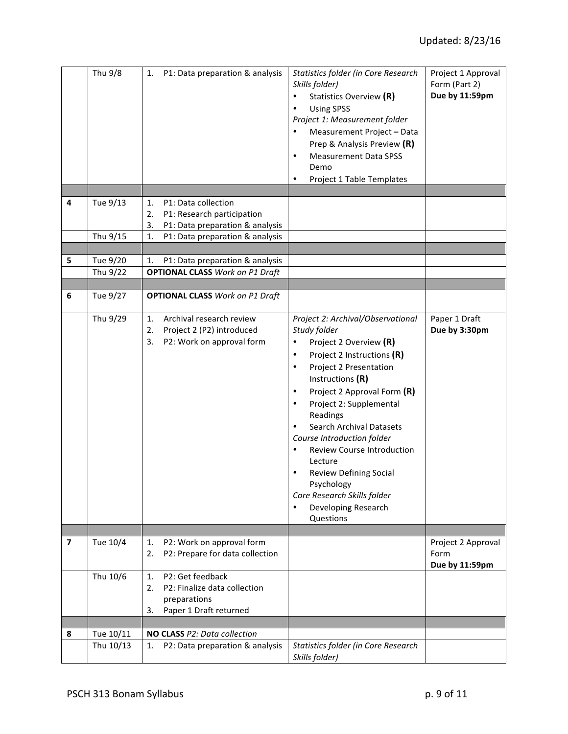|                         | Thu 9/8              | P1: Data preparation & analysis<br>1.                                                                                                           | Statistics folder (in Core Research<br>Skills folder)<br>Statistics Overview (R)<br>$\bullet$<br><b>Using SPSS</b><br>٠<br>Project 1: Measurement folder<br>Measurement Project - Data<br>Prep & Analysis Preview (R)<br><b>Measurement Data SPSS</b><br>$\bullet$<br>Demo<br>Project 1 Table Templates<br>٠                                                                                                                                                                                                           | Project 1 Approval<br>Form (Part 2)<br>Due by 11:59pm |
|-------------------------|----------------------|-------------------------------------------------------------------------------------------------------------------------------------------------|------------------------------------------------------------------------------------------------------------------------------------------------------------------------------------------------------------------------------------------------------------------------------------------------------------------------------------------------------------------------------------------------------------------------------------------------------------------------------------------------------------------------|-------------------------------------------------------|
|                         |                      |                                                                                                                                                 |                                                                                                                                                                                                                                                                                                                                                                                                                                                                                                                        |                                                       |
| 4                       | Tue 9/13<br>Thu 9/15 | P1: Data collection<br>1.<br>2.<br>P1: Research participation<br>3.<br>P1: Data preparation & analysis<br>P1: Data preparation & analysis<br>1. |                                                                                                                                                                                                                                                                                                                                                                                                                                                                                                                        |                                                       |
|                         |                      |                                                                                                                                                 |                                                                                                                                                                                                                                                                                                                                                                                                                                                                                                                        |                                                       |
| 5                       | Tue 9/20             | P1: Data preparation & analysis<br>1.                                                                                                           |                                                                                                                                                                                                                                                                                                                                                                                                                                                                                                                        |                                                       |
|                         | Thu 9/22             | <b>OPTIONAL CLASS Work on P1 Draft</b>                                                                                                          |                                                                                                                                                                                                                                                                                                                                                                                                                                                                                                                        |                                                       |
|                         |                      |                                                                                                                                                 |                                                                                                                                                                                                                                                                                                                                                                                                                                                                                                                        |                                                       |
| 6                       | Tue 9/27             | <b>OPTIONAL CLASS Work on P1 Draft</b>                                                                                                          |                                                                                                                                                                                                                                                                                                                                                                                                                                                                                                                        |                                                       |
|                         | Thu 9/29             | Archival research review<br>1.<br>2.<br>Project 2 (P2) introduced<br>3.<br>P2: Work on approval form                                            | Project 2: Archival/Observational<br>Study folder<br>Project 2 Overview (R)<br>Project 2 Instructions (R)<br>$\bullet$<br>Project 2 Presentation<br>٠<br>Instructions (R)<br>Project 2 Approval Form (R)<br>$\bullet$<br>Project 2: Supplemental<br>Readings<br><b>Search Archival Datasets</b><br>Course Introduction folder<br><b>Review Course Introduction</b><br>٠<br>Lecture<br><b>Review Defining Social</b><br>٠<br>Psychology<br>Core Research Skills folder<br>Developing Research<br>$\bullet$<br>Questions | Paper 1 Draft<br>Due by 3:30pm                        |
| $\overline{\mathbf{z}}$ | Tue 10/4             | P2: Work on approval form<br>1.                                                                                                                 |                                                                                                                                                                                                                                                                                                                                                                                                                                                                                                                        |                                                       |
|                         |                      | P2: Prepare for data collection<br>2.                                                                                                           |                                                                                                                                                                                                                                                                                                                                                                                                                                                                                                                        | Project 2 Approval<br>Form<br>Due by 11:59pm          |
|                         | Thu 10/6             | P2: Get feedback<br>1.<br>P2: Finalize data collection<br>2.<br>preparations<br>Paper 1 Draft returned<br>3.                                    |                                                                                                                                                                                                                                                                                                                                                                                                                                                                                                                        |                                                       |
| 8                       | Tue 10/11            | NO CLASS P2: Data collection                                                                                                                    |                                                                                                                                                                                                                                                                                                                                                                                                                                                                                                                        |                                                       |
|                         | Thu 10/13            | P2: Data preparation & analysis<br>1.                                                                                                           | Statistics folder (in Core Research                                                                                                                                                                                                                                                                                                                                                                                                                                                                                    |                                                       |
|                         |                      |                                                                                                                                                 | Skills folder)                                                                                                                                                                                                                                                                                                                                                                                                                                                                                                         |                                                       |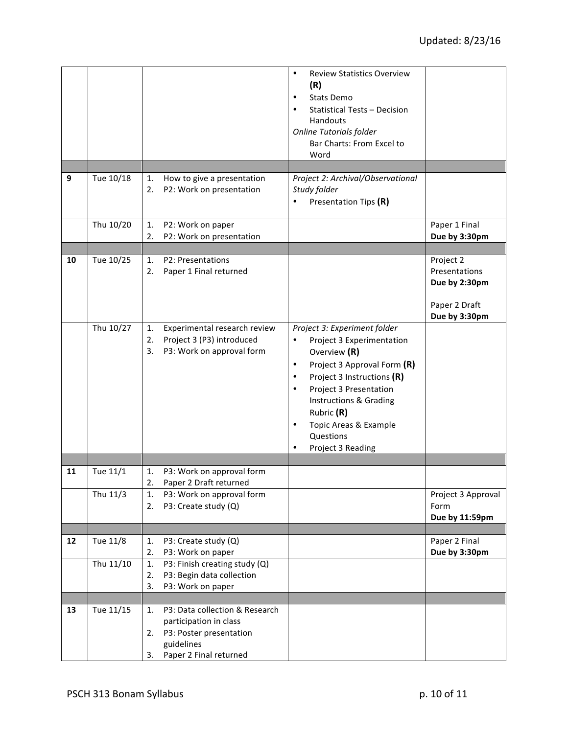| 9  | Tue 10/18 | How to give a presentation<br>1.<br>P2: Work on presentation<br>2.                                                                            | <b>Review Statistics Overview</b><br>$\bullet$<br>(R)<br><b>Stats Demo</b><br>٠<br><b>Statistical Tests - Decision</b><br>Handouts<br>Online Tutorials folder<br>Bar Charts: From Excel to<br>Word<br>Project 2: Archival/Observational<br>Study folder<br>Presentation Tips (R)                                                          |                                                                               |
|----|-----------|-----------------------------------------------------------------------------------------------------------------------------------------------|-------------------------------------------------------------------------------------------------------------------------------------------------------------------------------------------------------------------------------------------------------------------------------------------------------------------------------------------|-------------------------------------------------------------------------------|
|    | Thu 10/20 | P2: Work on paper<br>1.<br>P2: Work on presentation<br>2.                                                                                     |                                                                                                                                                                                                                                                                                                                                           | Paper 1 Final<br>Due by 3:30pm                                                |
|    |           |                                                                                                                                               |                                                                                                                                                                                                                                                                                                                                           |                                                                               |
| 10 | Tue 10/25 | P2: Presentations<br>1.<br>Paper 1 Final returned<br>2.                                                                                       |                                                                                                                                                                                                                                                                                                                                           | Project 2<br>Presentations<br>Due by 2:30pm<br>Paper 2 Draft<br>Due by 3:30pm |
|    | Thu 10/27 | Experimental research review<br>1.<br>Project 3 (P3) introduced<br>2.<br>P3: Work on approval form<br>3.                                      | Project 3: Experiment folder<br>Project 3 Experimentation<br>$\bullet$<br>Overview (R)<br>Project 3 Approval Form (R)<br>$\bullet$<br>Project 3 Instructions (R)<br>$\bullet$<br>Project 3 Presentation<br>$\bullet$<br>Instructions & Grading<br>Rubric (R)<br>Topic Areas & Example<br>$\bullet$<br>Questions<br>Project 3 Reading<br>٠ |                                                                               |
| 11 | Tue 11/1  | P3: Work on approval form<br>1.                                                                                                               |                                                                                                                                                                                                                                                                                                                                           |                                                                               |
|    | Thu 11/3  | 2.<br>Paper 2 Draft returned<br>1.<br>P3: Work on approval form<br>P3: Create study (Q)<br>2.                                                 |                                                                                                                                                                                                                                                                                                                                           | Project 3 Approval<br>Form<br>Due by 11:59pm                                  |
|    |           |                                                                                                                                               |                                                                                                                                                                                                                                                                                                                                           |                                                                               |
| 12 | Tue 11/8  | P3: Create study (Q)<br>1.<br>P3: Work on paper<br>2.                                                                                         |                                                                                                                                                                                                                                                                                                                                           | Paper 2 Final<br>Due by 3:30pm                                                |
|    | Thu 11/10 | P3: Finish creating study (Q)<br>1.<br>P3: Begin data collection<br>2.<br>3.<br>P3: Work on paper                                             |                                                                                                                                                                                                                                                                                                                                           |                                                                               |
| 13 | Tue 11/15 | P3: Data collection & Research<br>1.<br>participation in class<br>P3: Poster presentation<br>2.<br>guidelines<br>Paper 2 Final returned<br>3. |                                                                                                                                                                                                                                                                                                                                           |                                                                               |